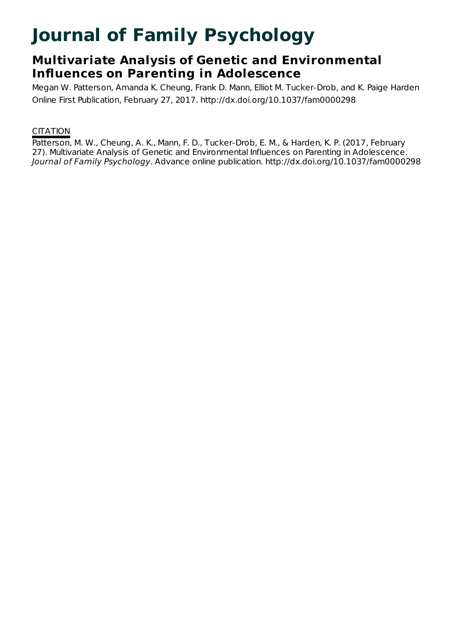# **Journal of Family Psychology**

## **Multivariate Analysis of Genetic and Environmental Influences on Parenting in Adolescence**

Megan W. Patterson, Amanda K. Cheung, Frank D. Mann, Elliot M. Tucker-Drob, and K. Paige Harden Online First Publication, February 27, 2017. http://dx.doi.org/10.1037/fam0000298

### **CITATION**

Patterson, M. W., Cheung, A. K., Mann, F. D., Tucker-Drob, E. M., & Harden, K. P. (2017, February 27). Multivariate Analysis of Genetic and Environmental Influences on Parenting in Adolescence. Journal of Family Psychology. Advance online publication. http://dx.doi.org/10.1037/fam0000298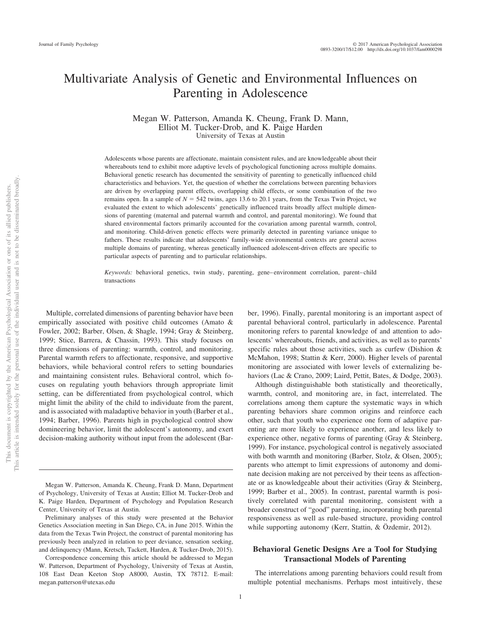### Multivariate Analysis of Genetic and Environmental Influences on Parenting in Adolescence

Megan W. Patterson, Amanda K. Cheung, Frank D. Mann, Elliot M. Tucker-Drob, and K. Paige Harden University of Texas at Austin

Adolescents whose parents are affectionate, maintain consistent rules, and are knowledgeable about their whereabouts tend to exhibit more adaptive levels of psychological functioning across multiple domains. Behavioral genetic research has documented the sensitivity of parenting to genetically influenced child characteristics and behaviors. Yet, the question of whether the correlations between parenting behaviors are driven by overlapping parent effects, overlapping child effects, or some combination of the two remains open. In a sample of  $N = 542$  twins, ages 13.6 to 20.1 years, from the Texas Twin Project, we evaluated the extent to which adolescents' genetically influenced traits broadly affect multiple dimensions of parenting (maternal and paternal warmth and control, and parental monitoring). We found that shared environmental factors primarily accounted for the covariation among parental warmth, control, and monitoring. Child-driven genetic effects were primarily detected in parenting variance unique to fathers. These results indicate that adolescents' family-wide environmental contexts are general across multiple domains of parenting, whereas genetically influenced adolescent-driven effects are specific to particular aspects of parenting and to particular relationships.

*Keywords:* behavioral genetics, twin study, parenting, gene– environment correlation, parent– child transactions

Multiple, correlated dimensions of parenting behavior have been empirically associated with positive child outcomes (Amato & Fowler, 2002; Barber, Olsen, & Shagle, 1994; Gray & Steinberg, 1999; Stice, Barrera, & Chassin, 1993). This study focuses on three dimensions of parenting: warmth, control, and monitoring. Parental warmth refers to affectionate, responsive, and supportive behaviors, while behavioral control refers to setting boundaries and maintaining consistent rules. Behavioral control, which focuses on regulating youth behaviors through appropriate limit setting, can be differentiated from psychological control, which might limit the ability of the child to individuate from the parent, and is associated with maladaptive behavior in youth (Barber et al., 1994; Barber, 1996). Parents high in psychological control show domineering behavior, limit the adolescent's autonomy, and exert decision-making authority without input from the adolescent (Bar-

Megan W. Patterson, Amanda K. Cheung, Frank D. Mann, Department of Psychology, University of Texas at Austin; Elliot M. Tucker-Drob and K. Paige Harden, Department of Psychology and Population Research Center, University of Texas at Austin.

Preliminary analyses of this study were presented at the Behavior Genetics Association meeting in San Diego, CA, in June 2015. Within the data from the Texas Twin Project, the construct of parental monitoring has previously been analyzed in relation to peer deviance, sensation seeking, and delinquency (Mann, Kretsch, Tackett, Harden, & Tucker-Drob, 2015).

Correspondence concerning this article should be addressed to Megan W. Patterson, Department of Psychology, University of Texas at Austin, 108 East Dean Keeton Stop A8000, Austin, TX 78712. E-mail: [megan.patterson@utexas.edu](mailto:megan.patterson@utexas.edu)

ber, 1996). Finally, parental monitoring is an important aspect of parental behavioral control, particularly in adolescence. Parental monitoring refers to parental knowledge of and attention to adolescents' whereabouts, friends, and activities, as well as to parents' specific rules about those activities, such as curfew (Dishion & McMahon, 1998; [Stattin & Kerr, 2000\)](#page-10-0). Higher levels of parental monitoring are associated with lower levels of externalizing behaviors (Lac & Crano, 2009; Laird, Pettit, Bates, & Dodge, 2003).

Although distinguishable both statistically and theoretically, warmth, control, and monitoring are, in fact, interrelated. The correlations among them capture the systematic ways in which parenting behaviors share common origins and reinforce each other, such that youth who experience one form of adaptive parenting are more likely to experience another, and less likely to experience other, negative forms of parenting (Gray & Steinberg, 1999). For instance, psychological control is negatively associated with both warmth and monitoring (Barber, Stolz, & Olsen, 2005); parents who attempt to limit expressions of autonomy and dominate decision making are not perceived by their teens as affectionate or as knowledgeable about their activities (Gray & Steinberg, 1999; Barber et al., 2005). In contrast, parental warmth is positively correlated with parental monitoring, consistent with a broader construct of "good" parenting, incorporating both parental responsiveness as well as rule-based structure, providing control while supporting autonomy (Kerr, Stattin, & Özdemir, 2012).

#### **Behavioral Genetic Designs Are a Tool for Studying Transactional Models of Parenting**

The interrelations among parenting behaviors could result from multiple potential mechanisms. Perhaps most intuitively, these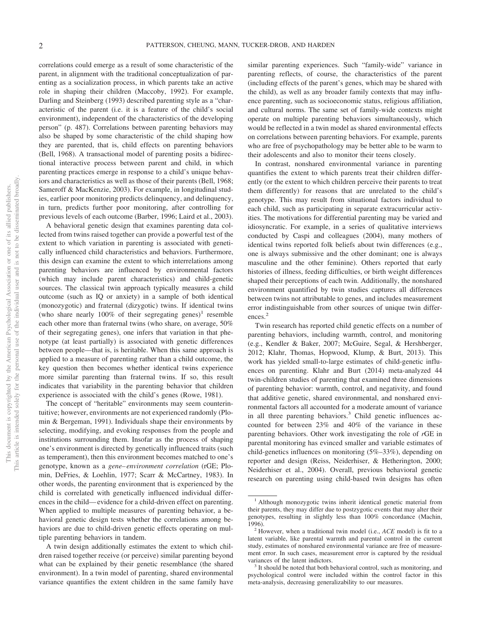correlations could emerge as a result of some characteristic of the parent, in alignment with the traditional conceptualization of parenting as a socialization process, in which parents take an active role in shaping their children (Maccoby, 1992). For example, [Darling and Steinberg \(1993\)](#page-9-0) described parenting style as a "characteristic of the parent (i.e. it is a feature of the child's social environment), independent of the characteristics of the developing person" (p. 487). Correlations between parenting behaviors may also be shaped by some characteristic of the child shaping how they are parented, that is, child effects on parenting behaviors (Bell, 1968). A transactional model of parenting posits a bidirectional interactive process between parent and child, in which parenting practices emerge in response to a child's unique behaviors and characteristics as well as those of their parents (Bell, 1968; Sameroff & MacKenzie, 2003). For example, in longitudinal studies, earlier poor monitoring predicts delinquency, and delinquency, in turn, predicts further poor monitoring, after controlling for previous levels of each outcome (Barber, 1996; Laird et al., 2003).

A behavioral genetic design that examines parenting data collected from twins raised together can provide a powerful test of the extent to which variation in parenting is associated with genetically influenced child characteristics and behaviors. Furthermore, this design can examine the extent to which interrelations among parenting behaviors are influenced by environmental factors (which may include parent characteristics) and child-genetic sources. The classical twin approach typically measures a child outcome (such as IQ or anxiety) in a sample of both identical (monozygotic) and fraternal (dizygotic) twins. If identical twins (who share nearly 100% of their segregating genes)<sup>1</sup> resemble each other more than fraternal twins (who share, on average, 50% of their segregating genes), one infers that variation in that phenotype (at least partially) is associated with genetic differences between people—that is, is heritable. When this same approach is applied to a measure of parenting rather than a child outcome, the key question then becomes whether identical twins experience more similar parenting than fraternal twins. If so, this result indicates that variability in the parenting behavior that children experience is associated with the child's genes (Rowe, 1981).

The concept of "heritable" environments may seem counterintuitive; however, environments are not experienced randomly (Plomin & Bergeman, 1991). Individuals shape their environments by selecting, modifying, and evoking responses from the people and institutions surrounding them. Insofar as the process of shaping one's environment is directed by genetically influenced traits (such as temperament), then this environment becomes matched to one's genotype, known as a *gene– environment correlation* (rGE; Plomin, DeFries, & Loehlin, 1977; Scarr & McCartney, 1983). In other words, the parenting environment that is experienced by the child is correlated with genetically influenced individual differences in the child— evidence for a child-driven effect on parenting. When applied to multiple measures of parenting behavior, a behavioral genetic design tests whether the correlations among behaviors are due to child-driven genetic effects operating on multiple parenting behaviors in tandem.

A twin design additionally estimates the extent to which children raised together receive (or perceive) similar parenting beyond what can be explained by their genetic resemblance (the shared environment). In a twin model of parenting, shared environmental variance quantifies the extent children in the same family have

similar parenting experiences. Such "family-wide" variance in parenting reflects, of course, the characteristics of the parent (including effects of the parent's genes, which may be shared with the child), as well as any broader family contexts that may influence parenting, such as socioeconomic status, religious affiliation, and cultural norms. The same set of family-wide contexts might operate on multiple parenting behaviors simultaneously, which would be reflected in a twin model as shared environmental effects on correlations between parenting behaviors. For example, parents who are free of psychopathology may be better able to be warm to their adolescents and also to monitor their teens closely.

In contrast, nonshared environmental variance in parenting quantifies the extent to which parents treat their children differently (or the extent to which children perceive their parents to treat them differently) for reasons that are unrelated to the child's genotype. This may result from situational factors individual to each child, such as participating in separate extracurricular activities. The motivations for differential parenting may be varied and idiosyncratic. For example, in a series of qualitative interviews conducted by Caspi and colleagues (2004), many mothers of identical twins reported folk beliefs about twin differences (e.g., one is always submissive and the other dominant; one is always masculine and the other feminine). Others reported that early histories of illness, feeding difficulties, or birth weight differences shaped their perceptions of each twin. Additionally, the nonshared environment quantified by twin studies captures all differences between twins not attributable to genes, and includes measurement error indistinguishable from other sources of unique twin differences.<sup>2</sup>

Twin research has reported child genetic effects on a number of parenting behaviors, including warmth, control, and monitoring (e.g., Kendler & Baker, 2007; McGuire, Segal, & Hershberger, 2012; Klahr, Thomas, Hopwood, Klump, & Burt, 2013). This work has yielded small-to-large estimates of child-genetic influences on parenting. Klahr and Burt (2014) meta-analyzed 44 twin-children studies of parenting that examined three dimensions of parenting behavior: warmth, control, and negativity, and found that additive genetic, shared environmental, and nonshared environmental factors all accounted for a moderate amount of variance in all three parenting behaviors.<sup>3</sup> Child genetic influences accounted for between 23% and 40% of the variance in these parenting behaviors. Other work investigating the role of *r*GE in parental monitoring has evinced smaller and variable estimates of child-genetics influences on monitoring (5%–33%), depending on reporter and design (Reiss, Neiderhiser, & Hetherington, 2000; Neiderhiser et al., 2004). Overall, previous behavioral genetic research on parenting using child-based twin designs has often

<sup>&</sup>lt;sup>1</sup> Although monozygotic twins inherit identical genetic material from their parents, they may differ due to postzygotic events that may alter their genotypes, resulting in slightly less than 100% concordance (Machin, 1996). <sup>2</sup> However, when a traditional twin model (i.e., *ACE* model) is fit to a

latent variable, like parental warmth and parental control in the current study, estimates of nonshared environmental variance are free of measurement error. In such cases, measurement error is captured by the residual variances of the latent indictors.<br><sup>3</sup> It should be noted that both behavioral control, such as monitoring, and

psychological control were included within the control factor in this meta-analysis, decreasing generalizability to our measures.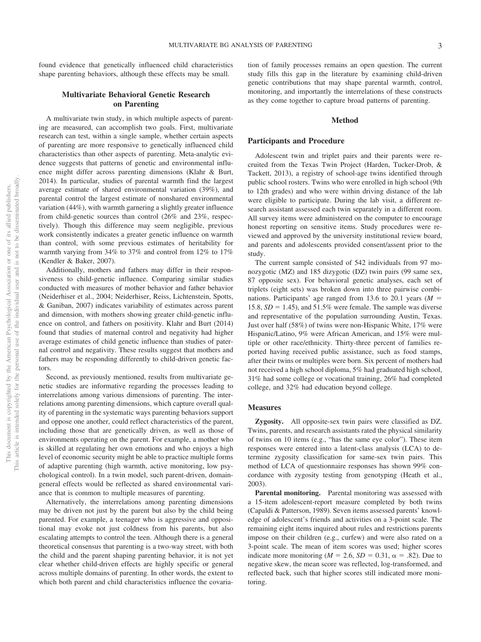found evidence that genetically influenced child characteristics shape parenting behaviors, although these effects may be small.

#### **Multivariate Behavioral Genetic Research on Parenting**

A multivariate twin study, in which multiple aspects of parenting are measured, can accomplish two goals. First, multivariate research can test, within a single sample, whether certain aspects of parenting are more responsive to genetically influenced child characteristics than other aspects of parenting. Meta-analytic evidence suggests that patterns of genetic and environmental influence might differ across parenting dimensions (Klahr & Burt, 2014). In particular, studies of parental warmth find the largest average estimate of shared environmental variation (39%), and parental control the largest estimate of nonshared environmental variation (44%), with warmth garnering a slightly greater influence from child-genetic sources than control (26% and 23%, respectively). Though this difference may seem negligible, previous work consistently indicates a greater genetic influence on warmth than control, with some previous estimates of heritability for warmth varying from 34% to 37% and control from 12% to 17% (Kendler & Baker, 2007).

Additionally, mothers and fathers may differ in their responsiveness to child-genetic influence. Comparing similar studies conducted with measures of mother behavior and father behavior (Neiderhiser et al., 2004; [Neiderhiser, Reiss, Lichtenstein, Spotts,](#page-9-1) [& Ganiban, 2007\)](#page-9-1) indicates variability of estimates across parent and dimension, with mothers showing greater child-genetic influence on control, and fathers on positivity. Klahr and Burt (2014) found that studies of maternal control and negativity had higher average estimates of child genetic influence than studies of paternal control and negativity. These results suggest that mothers and fathers may be responding differently to child-driven genetic factors.

Second, as previously mentioned, results from multivariate genetic studies are informative regarding the processes leading to interrelations among various dimensions of parenting. The interrelations among parenting dimensions, which capture overall quality of parenting in the systematic ways parenting behaviors support and oppose one another, could reflect characteristics of the parent, including those that are genetically driven, as well as those of environments operating on the parent. For example, a mother who is skilled at regulating her own emotions and who enjoys a high level of economic security might be able to practice multiple forms of adaptive parenting (high warmth, active monitoring, low psychological control). In a twin model, such parent-driven, domaingeneral effects would be reflected as shared environmental variance that is common to multiple measures of parenting.

Alternatively, the interrelations among parenting dimensions may be driven not just by the parent but also by the child being parented. For example, a teenager who is aggressive and oppositional may evoke not just coldness from his parents, but also escalating attempts to control the teen. Although there is a general theoretical consensus that parenting is a two-way street, with both the child and the parent shaping parenting behavior, it is not yet clear whether child-driven effects are highly specific or general across multiple domains of parenting. In other words, the extent to which both parent and child characteristics influence the covariation of family processes remains an open question. The current study fills this gap in the literature by examining child-driven genetic contributions that may shape parental warmth, control, monitoring, and importantly the interrelations of these constructs as they come together to capture broad patterns of parenting.

#### **Method**

#### **Participants and Procedure**

Adolescent twin and triplet pairs and their parents were recruited from the Texas Twin Project (Harden, Tucker-Drob, & Tackett, 2013), a registry of school-age twins identified through public school rosters. Twins who were enrolled in high school (9th to 12th grades) and who were within driving distance of the lab were eligible to participate. During the lab visit, a different research assistant assessed each twin separately in a different room. All survey items were administered on the computer to encourage honest reporting on sensitive items. Study procedures were reviewed and approved by the university institutional review board, and parents and adolescents provided consent/assent prior to the study.

The current sample consisted of 542 individuals from 97 monozygotic (MZ) and 185 dizygotic (DZ) twin pairs (99 same sex, 87 opposite sex). For behavioral genetic analyses, each set of triplets (eight sets) was broken down into three pairwise combinations. Participants' age ranged from 13.6 to 20.1 years  $(M =$ 15.8,  $SD = 1.45$ ), and 51.5% were female. The sample was diverse and representative of the population surrounding Austin, Texas. Just over half (58%) of twins were non-Hispanic White, 17% were Hispanic/Latino, 9% were African American, and 15% were multiple or other race/ethnicity. Thirty-three percent of families reported having received public assistance, such as food stamps, after their twins or multiples were born. Six percent of mothers had not received a high school diploma, 5% had graduated high school, 31% had some college or vocational training, 26% had completed college, and 32% had education beyond college.

#### **Measures**

**Zygosity.** All opposite-sex twin pairs were classified as DZ. Twins, parents, and research assistants rated the physical similarity of twins on 10 items (e.g., "has the same eye color"). These item responses were entered into a latent-class analysis (LCA) to determine zygosity classification for same-sex twin pairs. This method of LCA of questionnaire responses has shown 99% concordance with zygosity testing from genotyping (Heath et al., 2003).

**Parental monitoring.** Parental monitoring was assessed with a 15-item adolescent-report measure completed by both twins (Capaldi & Patterson, 1989). Seven items assessed parents' knowledge of adolescent's friends and activities on a 3-point scale. The remaining eight items inquired about rules and restrictions parents impose on their children (e.g., curfew) and were also rated on a 3-point scale. The mean of item scores was used; higher scores indicate more monitoring ( $M = 2.6$ ,  $SD = 0.31$ ,  $\alpha = .82$ ). Due to negative skew, the mean score was reflected, log-transformed, and reflected back, such that higher scores still indicated more monitoring.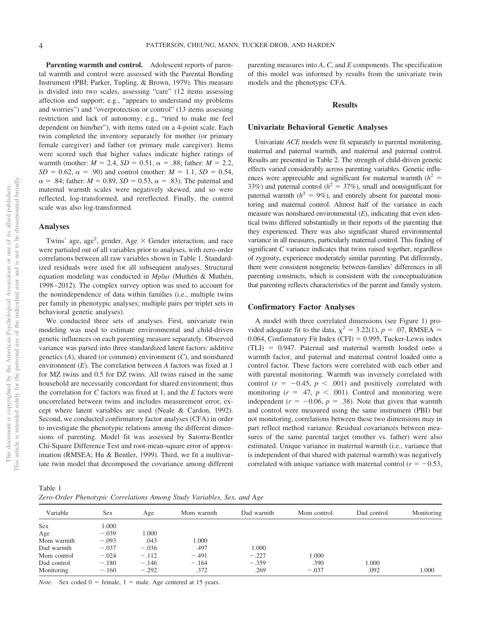Parenting warmth and control. Adolescent reports of parental warmth and control were assessed with the Parental Bonding Instrument (PBI; Parker, Tupling, & Brown, 1979). This measure is divided into two scales, assessing "care" (12 items assessing affection and support; e.g., "appears to understand my problems and worries") and "overprotection or control" (13 items assessing restriction and lack of autonomy; e.g., "tried to make me feel dependent on him/her"), with items rated on a 4-point scale. Each twin completed the inventory separately for mother (or primary female caregiver) and father (or primary male caregiver). Items were scored such that higher values indicate higher ratings of warmth (mother:  $M = 2.4$ ,  $SD = 0.51$ ,  $\alpha = .88$ ; father:  $M = 2.2$ ,  $SD = 0.62$ ,  $\alpha = .90$ ) and control (mother:  $M = 1.1$ ,  $SD = 0.54$ ,  $\alpha = .84$ ; father:  $M = 0.89$ ,  $SD = 0.53$ ,  $\alpha = .83$ ). The paternal and maternal warmth scales were negatively skewed, and so were reflected, log-transformed, and rereflected. Finally, the control scale was also log-transformed.

#### **Analyses**

Twins' age, age<sup>2</sup>, gender, Age  $\times$  Gender interaction, and race were partialed out of all variables prior to analyses, with zero-order correlations between all raw variables shown in Table 1. Standardized residuals were used for all subsequent analyses. Structural equation modeling was conducted in *Mplus* (Muthén & Muthén, 1998 –2012). The complex survey option was used to account for the nonindependence of data within families (i.e., multiple twins per family in phenotypic analyses; multiple pairs per triplet sets in behavioral genetic analyses).

We conducted three sets of analyses. First, univariate twin modeling was used to estimate environmental and child-driven genetic influences on each parenting measure separately. Observed variance was parsed into three standardized latent factors: additive genetics (*A*), shared (or common) environment (*C*), and nonshared environment (*E*). The correlation between *A* factors was fixed at 1 for MZ twins and 0.5 for DZ twins. All twins raised in the same household are necessarily concordant for shared environment; thus the correlation for *C* factors was fixed at 1, and the *E* factors were uncorrelated between twins and includes measurement error, except where latent variables are used (Neale & Cardon, 1992). Second, we conducted confirmatory factor analyses (CFA) in order to investigate the phenotypic relations among the different dimensions of parenting. Model fit was assessed by Satorra-Bentler Chi-Square Difference Test and root-mean-square error of approximation (RMSEA; Hu & Bentler, 1999). Third, we fit a multivariate twin model that decomposed the covariance among different

parenting measures into *A*, *C*, and *E* components. The specification of this model was informed by results from the univariate twin models and the phenotypic CFA.

#### **Results**

#### **Univariate Behavioral Genetic Analyses**

Univariate *ACE* models were fit separately to parental monitoring, maternal and paternal warmth, and maternal and paternal control. Results are presented in Table 2. The strength of child-driven genetic effects varied considerably across parenting variables. Genetic influences were appreciable and significant for maternal warmth  $(h^2 =$ 33%) and paternal control ( $h^2 = 37$ %), small and nonsignificant for paternal warmth  $(h^2 = 9\%)$ , and entirely absent for parental monitoring and maternal control. Almost half of the variance in each measure was nonshared environmental (*E*), indicating that even identical twins differed substantially in their reports of the parenting that they experienced. There was also significant shared environmental variance in all measures, particularly maternal control. This finding of significant *C* variance indicates that twins raised together, regardless of zygosity, experience moderately similar parenting. Put differently, there were consistent nongenetic between-families' differences in all parenting constructs, which is consistent with the conceptualization that parenting reflects characteristics of the parent and family system.

#### **Confirmatory Factor Analyses**

A model with three correlated dimensions (see Figure 1) provided adequate fit to the data,  $\chi^2 = 3.22(1)$ ,  $p = .07$ , RMSEA =  $0.064$ , Confirmatory Fit Index (CFI) =  $0.995$ , Tucker-Lewis index (TLI) - 0.947. Paternal and maternal warmth loaded onto a warmth factor, and paternal and maternal control loaded onto a control factor. These factors were correlated with each other and with parental monitoring. Warmth was inversely correlated with control ( $r = -0.45$ ,  $p < .001$ ) and positively correlated with monitoring  $(r = .47, p < .001)$ . Control and monitoring were independent  $(r = -0.06, p = .38)$ . Note that given that warmth and control were measured using the same instrument (PBI) but not monitoring, correlations between these two dimensions may in part reflect method variance. Residual covariances between measures of the same parental target (mother vs. father) were also estimated. Unique variance in maternal warmth (i.e., variance that is independent of that shared with paternal warmth) was negatively correlated with unique variance with maternal control  $(r = -0.53,$ 

Table 1 *Zero-Order Phenotypic Correlations Among Study Variables, Sex, and Age*

| Variable    | Sex     | Age     | Mom warmth | Dad warmth | Mom control | Dad control | Monitoring |
|-------------|---------|---------|------------|------------|-------------|-------------|------------|
| Sex         | 1.000   |         |            |            |             |             |            |
| Age         | $-.039$ | 1.000   |            |            |             |             |            |
| Mom warmth  | $-.093$ | .043    | 1.000      |            |             |             |            |
| Dad warmth  | $-.037$ | $-.036$ | .497       | 1.000      |             |             |            |
| Mom control | $-.024$ | $-.112$ | $-.491$    | $-.227$    | 000.1       |             |            |
| Dad control | $-.180$ | $-.146$ | $-.164$    | $-.359$    | .390        | 1.000       |            |
| Monitoring  | $-.160$ | $-.292$ | .372       | .269       | $-.037$     | .092        | 1.000      |

*Note.* Sex coded  $0 =$  female,  $1 =$  male. Age centered at 15 years.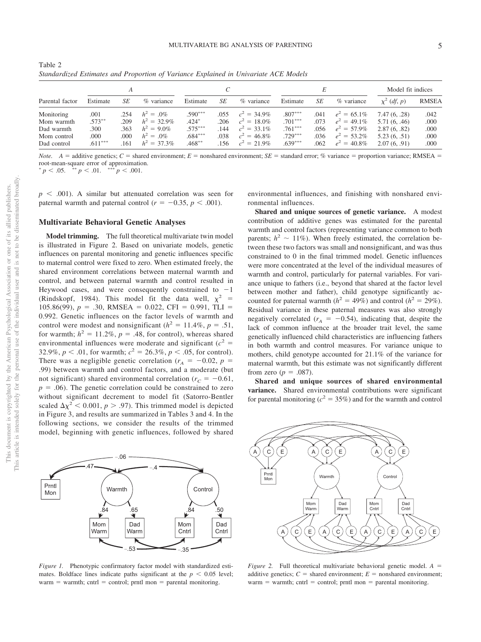| Table 2                                                                              |  |  |  |
|--------------------------------------------------------------------------------------|--|--|--|
| Standardized Estimates and Proportion of Variance Explained in Univariate ACE Models |  |  |  |

|                 |           |      |                |           |      |                | E         |      |                | Model fit indices |              |
|-----------------|-----------|------|----------------|-----------|------|----------------|-----------|------|----------------|-------------------|--------------|
| Parental factor | Estimate  | SE   | % variance     | Estimate  | SE   | $%$ variance   | Estimate  | SЕ   | % variance     | $\chi^2$ (df, p)  | <b>RMSEA</b> |
| Monitoring      | .001      | .254 | $h^2 = .0\%$   | $.590***$ | .055 | $c^2 = 34.9\%$ | $.807***$ | .041 | $e^2 = 65.1\%$ | 7.47(6, .28)      | .042         |
| Mom warmth      | $.573***$ | .209 | $h^2 = 32.9\%$ | $.424*$   | .206 | $c^2 = 18.0\%$ | $.701***$ | .073 | $e^2 = 49.1\%$ | 5.71(6, .46)      | .000         |
| Dad warmth      | .300      | .363 | $h^2 = 9.0\%$  | $.575***$ | .144 | $c^2 = 33.1\%$ | $.761***$ | .056 | $e^2 = 57.9\%$ | 2.87(6, .82)      | .000         |
| Mom control     | .000      | .000 | $h^2 = 0\%$    | $.684***$ | .038 | $c^2 = 46.8\%$ | $.729***$ | .036 | $e^2 = 53.2\%$ | 5.23(6, .51)      | .000         |
| Dad control     | $.611***$ | .161 | $h^2 = 37.3\%$ | $.468***$ | .156 | $c^2 = 21.9\%$ | $.639***$ | .062 | $e^2 = 40.8\%$ | 2.07(6, .91)      | .000         |

*Note.*  $A =$  additive genetics;  $C =$  shared environment;  $E =$  nonshared environment;  $SE =$  standard error; % variance = proportion variance; RMSEA = root-mean-square error of approximation.<br>  $p < .05.$ <sup>\*\*</sup> $p < .01.$ <sup>\*\*\*</sup> $p < .001.$ 

 $p \leq .001$ ). A similar but attenuated correlation was seen for paternal warmth and paternal control ( $r = -0.35$ ,  $p < .001$ ).

#### **Multivariate Behavioral Genetic Analyses**

**Model trimming.** The full theoretical multivariate twin model is illustrated in Figure 2. Based on univariate models, genetic influences on parental monitoring and genetic influences specific to maternal control were fixed to zero. When estimated freely, the shared environment correlations between maternal warmth and control, and between paternal warmth and control resulted in Heywood cases, and were consequently constrained to  $-1$ (Rindskopf, 1984). This model fit the data well,  $\chi^2$  =  $105.86(99)$ ,  $p = .30$ , RMSEA = 0.022, CFI = 0.991, TLI = 0.992. Genetic influences on the factor levels of warmth and control were modest and nonsignificant ( $h^2 = 11.4\%$ ,  $p = .51$ , for warmth;  $h^2 = 11.2\%$ ,  $p = .48$ , for control), whereas shared environmental influences were moderate and significant  $(c^2 =$ 32.9%,  $p < .01$ , for warmth;  $c^2 = 26.3\%$ ,  $p < .05$ , for control). There was a negligible genetic correlation ( $r_A = -0.02$ ,  $p =$ .99) between warmth and control factors, and a moderate (but not significant) shared environmental correlation ( $r_c = -0.61$ ,  $p = .06$ ). The genetic correlation could be constrained to zero without significant decrement to model fit (Satorro-Bentler scaled  $\Delta \chi^2$  < 0.001,  $p > .97$ ). This trimmed model is depicted in Figure 3, and results are summarized in Tables 3 and [4.](#page-7-0) In the following sections, we consider the results of the trimmed model, beginning with genetic influences, followed by shared

Prntl Mon Dad Warm Mom Warm Warmth Dad **Cntrl** Mom **Cntrl** Control .84 .65 .84 .50  $.47 - .4$ −.06  $-53$   $-35$ 

*Figure 1.* Phenotypic confirmatory factor model with standardized estimates. Boldface lines indicate paths significant at the  $p < 0.05$  level;  $warm = warmth$ ; cntrl = control; prntl mon = parental monitoring.

environmental influences, and finishing with nonshared environmental influences.

**Shared and unique sources of genetic variance.** A modest contribution of additive genes was estimated for the parental warmth and control factors (representing variance common to both parents;  $h^2 \sim 11\%$ ). When freely estimated, the correlation between these two factors was small and nonsignificant, and was thus constrained to 0 in the final trimmed model. Genetic influences were more concentrated at the level of the individual measures of warmth and control, particularly for paternal variables. For variance unique to fathers (i.e., beyond that shared at the factor level between mother and father), child genotype significantly accounted for paternal warmth  $(h^2 = 49\%)$  and control  $(h^2 = 29\%)$ . Residual variance in these paternal measures was also strongly negatively correlated ( $r_A = -0.54$ ), indicating that, despite the lack of common influence at the broader trait level, the same genetically influenced child characteristics are influencing fathers in both warmth and control measures. For variance unique to mothers, child genotype accounted for 21.1% of the variance for maternal warmth, but this estimate was not significantly different from zero ( $p = .087$ ).

**Shared and unique sources of shared environmental variance.** Shared environmental contributions were significant for parental monitoring ( $c^2 = 35\%$ ) and for the warmth and control



*Figure 2.* Full theoretical multivariate behavioral genetic model.  $A =$ additive genetics;  $C =$  shared environment;  $E =$  nonshared environment;  $warm = warmth$ ; cntrl = control; prntl mon = parental monitoring.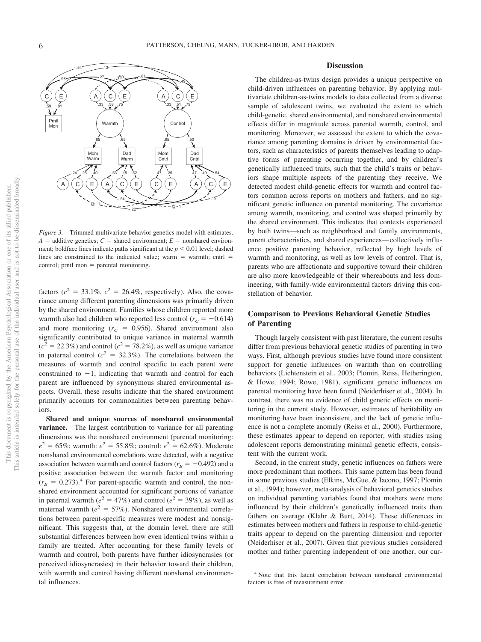

*Figure 3.* Trimmed multivariate behavior genetics model with estimates.  $A =$  additive genetics;  $C =$  shared environment;  $E =$  nonshared environment; boldface lines indicate paths significant at the  $p < 0.01$  level; dashed lines are constrained to the indicated value; warm  $=$  warmth; cntrl  $=$  $control$ ; prntl mon = parental monitoring.

factors  $(c^2 = 33.1\%, c^2 = 26.4\%,$  respectively). Also, the covariance among different parenting dimensions was primarily driven by the shared environment. Families whose children reported more warmth also had children who reported less control ( $r_C = -0.614$ ) and more monitoring  $(r_C = 0.956)$ . Shared environment also significantly contributed to unique variance in maternal warmth  $(c<sup>2</sup> = 22.3%)$  and control ( $c<sup>2</sup> = 78.2%)$ , as well as unique variance in paternal control ( $c^2 = 32.3\%$ ). The correlations between the measures of warmth and control specific to each parent were constrained to  $-1$ , indicating that warmth and control for each parent are influenced by synonymous shared environmental aspects. Overall, these results indicate that the shared environment primarily accounts for commonalities between parenting behaviors.

**Shared and unique sources of nonshared environmental variance.** The largest contribution to variance for all parenting dimensions was the nonshared environment (parental monitoring:  $e^2 = 65\%$ ; warmth:  $e^2 = 55.8\%$ ; control:  $e^2 = 62.6\%$ ). Moderate nonshared environmental correlations were detected, with a negative association between warmth and control factors ( $r_E = -0.492$ ) and a positive association between the warmth factor and monitoring  $(r_E = 0.273).$ <sup>4</sup> For parent-specific warmth and control, the nonshared environment accounted for significant portions of variance in paternal warmth ( $e^2 = 47\%$ ) and control ( $e^2 = 39\%$ ), as well as maternal warmth ( $e^2 = 57\%$ ). Nonshared environmental correlations between parent-specific measures were modest and nonsignificant. This suggests that, at the domain level, there are still substantial differences between how even identical twins within a family are treated. After accounting for these family levels of warmth and control, both parents have further idiosyncrasies (or perceived idiosyncrasies) in their behavior toward their children, with warmth and control having different nonshared environmental influences.

#### **Discussion**

The children-as-twins design provides a unique perspective on child-driven influences on parenting behavior. By applying multivariate children-as-twins models to data collected from a diverse sample of adolescent twins, we evaluated the extent to which child-genetic, shared environmental, and nonshared environmental effects differ in magnitude across parental warmth, control, and monitoring. Moreover, we assessed the extent to which the covariance among parenting domains is driven by environmental factors, such as characteristics of parents themselves leading to adaptive forms of parenting occurring together, and by children's genetically influenced traits, such that the child's traits or behaviors shape multiple aspects of the parenting they receive. We detected modest child-genetic effects for warmth and control factors common across reports on mothers and fathers, and no significant genetic influence on parental monitoring. The covariance among warmth, monitoring, and control was shaped primarily by the shared environment. This indicates that contexts experienced by both twins—such as neighborhood and family environments, parent characteristics, and shared experiences— collectively influence positive parenting behavior, reflected by high levels of warmth and monitoring, as well as low levels of control. That is, parents who are affectionate and supportive toward their children are also more knowledgeable of their whereabouts and less domineering, with family-wide environmental factors driving this constellation of behavior.

#### **Comparison to Previous Behavioral Genetic Studies of Parenting**

Though largely consistent with past literature, the current results differ from previous behavioral genetic studies of parenting in two ways. First, although previous studies have found more consistent support for genetic influences on warmth than on controlling behaviors (Lichtenstein et al., 2003; Plomin, Reiss, Hetherington, & Howe, 1994; Rowe, 1981), significant genetic influences on parental monitoring have been found (Neiderhiser et al., 2004). In contrast, there was no evidence of child genetic effects on monitoring in the current study. However, estimates of heritability on monitoring have been inconsistent, and the lack of genetic influence is not a complete anomaly (Reiss et al., 2000). Furthermore, these estimates appear to depend on reporter, with studies using adolescent reports demonstrating minimal genetic effects, consistent with the current work.

Second, in the current study, genetic influences on fathers were more predominant than mothers. This same pattern has been found in some previous studies (Elkins, McGue, & Iacono, 1997; Plomin et al., 1994); however, meta-analysis of behavioral genetics studies on individual parenting variables found that mothers were more influenced by their children's genetically influenced traits than fathers on average (Klahr & Burt, 2014). These differences in estimates between mothers and fathers in response to child-genetic traits appear to depend on the parenting dimension and reporter [\(Neiderhiser et al., 2007\)](#page-9-1). Given that previous studies considered mother and father parenting independent of one another, our cur-

<sup>4</sup> Note that this latent correlation between nonshared environmental factors is free of measurement error.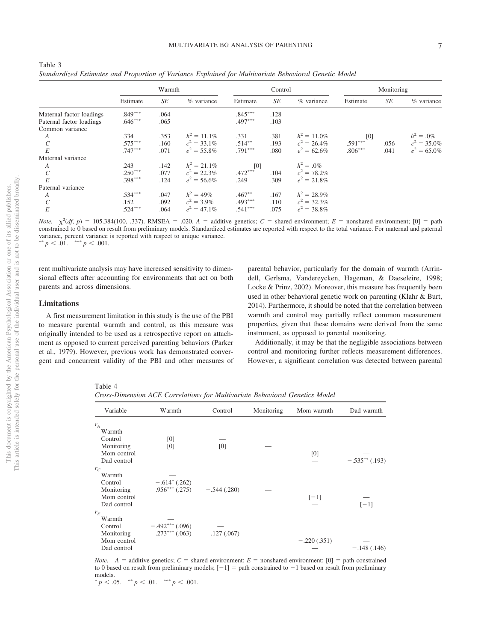|                          | Warmth    |           |                | Control   |           |                | Monitoring |      |                |
|--------------------------|-----------|-----------|----------------|-----------|-----------|----------------|------------|------|----------------|
|                          | Estimate  | <b>SE</b> | % variance     | Estimate  | <b>SE</b> | % variance     | Estimate   | SE   | % variance     |
| Maternal factor loadings | $.849***$ | .064      |                | $.845***$ | .128      |                |            |      |                |
| Paternal factor loadings | $.646***$ | .065      |                | $.497***$ | .103      |                |            |      |                |
| Common variance          |           |           |                |           |           |                |            |      |                |
| A                        | .334      | .353      | $h^2 = 11.1\%$ | .331      | .381      | $h^2 = 11.0\%$ | [0]        |      | $h^2 = .0\%$   |
| $\mathcal{C}_{0}^{(n)}$  | $.575***$ | .160      | $c^2 = 33.1\%$ | $.514***$ | .193      | $c^2 = 26.4\%$ | $.591***$  | .056 | $c^2 = 35.0\%$ |
| E                        | $.747***$ | .071      | $e^2 = 55.8\%$ | $.791***$ | .080      | $e^2 = 62.6\%$ | $.806***$  | .041 | $e^2 = 65.0\%$ |
| Maternal variance        |           |           |                |           |           |                |            |      |                |
| A                        | .243      | .142      | $h^2 = 21.1\%$ | [0]       |           | $h^2 = .0\%$   |            |      |                |
| $\mathcal{C}$            | $.250***$ | .077      | $c^2 = 22.3\%$ | $.472***$ | .104      | $c^2 = 78.2\%$ |            |      |                |
| E                        | $.398***$ | .124      | $e^2 = 56.6\%$ | .249      | .309      | $e^2 = 21.8\%$ |            |      |                |
| Paternal variance        |           |           |                |           |           |                |            |      |                |
| $\boldsymbol{A}$         | $.534***$ | .047      | $h^2 = 49\%$   | $.467**$  | .167      | $h^2 = 28.9\%$ |            |      |                |
| $\mathcal{C}_{0}^{(n)}$  | .152      | .092      | $c^2 = 3.9\%$  | $.493***$ | .110      | $c^2 = 32.3\%$ |            |      |                |
| E                        | $.524***$ | .064      | $e^2 = 47.1\%$ | $.541***$ | .075      | $e^2 = 38.8\%$ |            |      |                |

Table 3 *Standardized Estimates and Proportion of Variance Explained for Multivariate Behavioral Genetic Model*

*Note.*  $\chi^2(df, p) = 105.384(100, .337)$ . RMSEA = .020. *A* = additive genetics; *C* = shared environment; *E* = nonshared environment; [0] = path constrained to 0 based on result from preliminary models. Standardized estimates are reported with respect to the total variance. For maternal and paternal variance, percent variance is reported with respect to unique variance. \*\*  $p < .01.$  \*\*\*  $p < .001.$ 

rent multivariate analysis may have increased sensitivity to dimensional effects after accounting for environments that act on both parents and across dimensions.

#### **Limitations**

A first measurement limitation in this study is the use of the PBI to measure parental warmth and control, as this measure was originally intended to be used as a retrospective report on attachment as opposed to current perceived parenting behaviors (Parker et al., 1979). However, previous work has demonstrated convergent and concurrent validity of the PBI and other measures of parental behavior, particularly for the domain of warmth (Arrindell, Gerlsma, Vandereycken, Hageman, & Daeseleire, 1998; Locke & Prinz, 2002). Moreover, this measure has frequently been used in other behavioral genetic work on parenting (Klahr & Burt, 2014). Furthermore, it should be noted that the correlation between warmth and control may partially reflect common measurement properties, given that these domains were derived from the same instrument, as opposed to parental monitoring.

Additionally, it may be that the negligible associations between control and monitoring further reflects measurement differences. However, a significant correlation was detected between parental

<span id="page-7-0"></span>Table 4

*Cross-Dimension ACE Correlations for Multivariate Behavioral Genetics Model*

| Variable                                 | Warmth             | Control       | Monitoring | Mom warmth    | Dad warmth      |
|------------------------------------------|--------------------|---------------|------------|---------------|-----------------|
| $r_A$                                    |                    |               |            |               |                 |
| Warmth                                   |                    |               |            |               |                 |
| Control                                  | [0]                |               |            |               |                 |
| Monitoring<br>Mom control<br>Dad control | [0]                | [0]           |            | [0]           | $-.535**(.193)$ |
| $r_{C}$                                  |                    |               |            |               |                 |
| Warmth                                   |                    |               |            |               |                 |
| Control                                  | $-.614^*$ (.262)   |               |            |               |                 |
| Monitoring                               | $.956***$ $(.275)$ | $-.544(.280)$ |            |               |                 |
| Mom control                              |                    |               |            | $[-1]$        |                 |
| Dad control                              |                    |               |            |               | $[-1]$          |
| $r_E$                                    |                    |               |            |               |                 |
| Warmth                                   |                    |               |            |               |                 |
| Control                                  | $-.492***(.096)$   |               |            |               |                 |
| Monitoring                               | $.273***$ $(.063)$ | .127(.067)    |            |               |                 |
| Mom control                              |                    |               |            | $-.220(.351)$ |                 |
| Dad control                              |                    |               |            |               | $-.148(.146)$   |

*Note.*  $A =$  additive genetics;  $C =$  shared environment;  $E =$  nonshared environment;  $[0] =$  path constrained to 0 based on result from preliminary models;  $[-1] =$  path constrained to  $-1$  based on result from preliminary models.

 $p < .05.$  \*\*  $p < .01.$  \*\*\*  $p < .001.$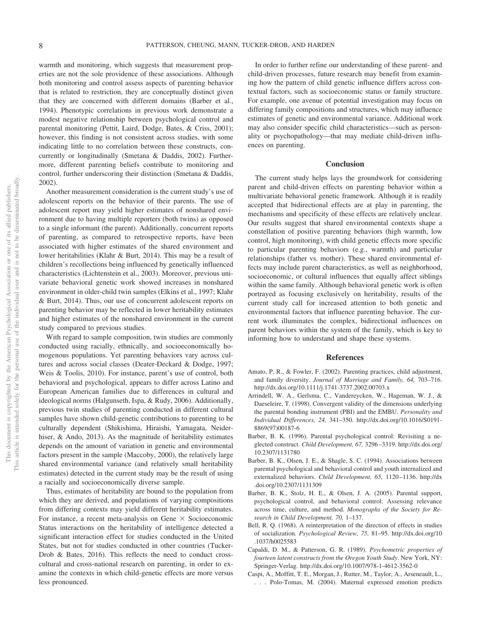warmth and monitoring, which suggests that measurement properties are not the sole providence of these associations. Although both monitoring and control assess aspects of parenting behavior that is related to restriction, they are conceptually distinct given that they are concerned with different domains (Barber et al., 1994). Phenotypic correlations in previous work demonstrate a modest negative relationship between psychological control and parental monitoring (Pettit, Laird, Dodge, Bates, & Criss, 2001); however, this finding is not consistent across studies, with some indicating little to no correlation between these constructs, concurrently or longitudinally [\(Smetana & Daddis, 2002\)](#page-10-1). Furthermore, different parenting beliefs contribute to monitoring and control, further underscoring their distinction [\(Smetana & Daddis,](#page-10-1) [2002\)](#page-10-1).

Another measurement consideration is the current study's use of adolescent reports on the behavior of their parents. The use of adolescent report may yield higher estimates of nonshared environment due to having multiple reporters (both twins) as opposed to a single informant (the parent). Additionally, concurrent reports of parenting, as compared to retrospective reports, have been associated with higher estimates of the shared environment and lower heritabilities (Klahr & Burt, 2014). This may be a result of children's recollections being influenced by genetically influenced characteristics (Lichtenstein et al., 2003). Moreover, previous univariate behavioral genetic work showed increases in nonshared environment in older-child twin samples (Elkins et al., 1997; Klahr & Burt, 2014). Thus, our use of concurrent adolescent reports on parenting behavior may be reflected in lower heritability estimates and higher estimates of the nonshared environment in the current study compared to previous studies.

With regard to sample composition, twin studies are commonly conducted using racially, ethnically, and socioeconomically homogenous populations. Yet parenting behaviors vary across cultures and across social classes (Deater-Deckard & Dodge, 1997; Weis & Toolis, 2010). For instance, parent's use of control, both behavioral and psychological, appears to differ across Latino and European American families due to differences in cultural and ideological norms (Halgunseth, Ispa, & Rudy, 2006). Additionally, previous twin studies of parenting conducted in different cultural samples have shown child-genetic contributions to parenting to be culturally dependent (Shikishima, Hiraishi, Yamagata, Neiderhiser, & Ando, 2013). As the magnitude of heritability estimates depends on the amount of variation in genetic and environmental factors present in the sample (Maccoby, 2000), the relatively large shared environmental variance (and relatively small heritability estimates) detected in the current study may be the result of using a racially and socioeconomically diverse sample.

Thus, estimates of heritability are bound to the population from which they are derived, and populations of varying compositions from differing contexts may yield different heritability estimates. For instance, a recent meta-analysis on Gene  $\times$  Socioeconomic Status interactions on the heritability of intelligence detected a significant interaction effect for studies conducted in the United States, but not for studies conducted in other countries (Tucker-Drob & Bates, 2016). This reflects the need to conduct crosscultural and cross-national research on parenting, in order to examine the contexts in which child-genetic effects are more versus less pronounced.

In order to further refine our understanding of these parent- and child-driven processes, future research may benefit from examining how the pattern of child genetic influence differs across contextual factors, such as socioeconomic status or family structure. For example, one avenue of potential investigation may focus on differing family compositions and structures, which may influence estimates of genetic and environmental variance. Additional work may also consider specific child characteristics—such as personality or psychopathology—that may mediate child-driven influences on parenting.

#### **Conclusion**

The current study helps lays the groundwork for considering parent and child-driven effects on parenting behavior within a multivariate behavioral genetic framework. Although it is readily accepted that bidirectional effects are at play in parenting, the mechanisms and specificity of these effects are relatively unclear. Our results suggest that shared environmental contexts shape a constellation of positive parenting behaviors (high warmth, low control, high monitoring), with child genetic effects more specific to particular parenting behaviors (e.g., warmth) and particular relationships (father vs. mother). These shared environmental effects may include parent characteristics, as well as neighborhood, socioeconomic, or cultural influences that equally affect siblings within the same family. Although behavioral genetic work is often portrayed as focusing exclusively on heritability, results of the current study call for increased attention to both genetic and environmental factors that influence parenting behavior. The current work illuminates the complex, bidirectional influences on parent behaviors within the system of the family, which is key to informing how to understand and shape these systems.

#### **References**

- Amato, P. R., & Fowler, F. (2002). Parenting practices, child adjustment, and family diversity. *Journal of Marriage and Family, 64,* 703–716. <http://dx.doi.org/10.1111/j.1741-3737.2002.00703.x>
- Arrindell, W. A., Gerlsma, C., Vandereycken, W., Hageman, W. J., & Daeseleire, T. (1998). Convergent validity of the dimensions underlying the parental bonding instrument (PBI) and the EMBU. *Personality and Individual Differences, 24,* 341–350. [http://dx.doi.org/10.1016/S0191-](http://dx.doi.org/10.1016/S0191-8869%2897%2900187-6) [8869\(97\)00187-6](http://dx.doi.org/10.1016/S0191-8869%2897%2900187-6)
- Barber, B. K. (1996). Parental psychological control: Revisiting a neglected construct. *Child Development, 67,* 3296 –3319. [http://dx.doi.org/](http://dx.doi.org/10.2307/1131780) [10.2307/1131780](http://dx.doi.org/10.2307/1131780)
- Barber, B. K., Olsen, J. E., & Shagle, S. C. (1994). Associations between parental psychological and behavioral control and youth internalized and externalized behaviors. *Child Development, 65, 1120-1136*. [http://dx](http://dx.doi.org/10.2307/1131309) [.doi.org/10.2307/1131309](http://dx.doi.org/10.2307/1131309)
- Barber, B. K., Stolz, H. E., & Olsen, J. A. (2005). Parental support, psychological control, and behavioral control: Assessing relevance across time, culture, and method. *Monographs of the Society for Research in Child Development, 70,* 1–137.
- Bell, R. Q. (1968). A reinterpretation of the direction of effects in studies of socialization. *Psychological Review, 75,* 81–95. [http://dx.doi.org/10](http://dx.doi.org/10.1037/h0025583) [.1037/h0025583](http://dx.doi.org/10.1037/h0025583)
- Capaldi, D. M., & Patterson, G. R. (1989). *Psychometric properties of fourteen latent constructs from the Oregon Youth Study*. New York, NY: Springer-Verlag.<http://dx.doi.org/10.1007/978-1-4612-3562-0>
- Caspi, A., Moffitt, T. E., Morgan, J., Rutter, M., Taylor, A., Arseneault, L., . . . Polo-Tomas, M. (2004). Maternal expressed emotion predicts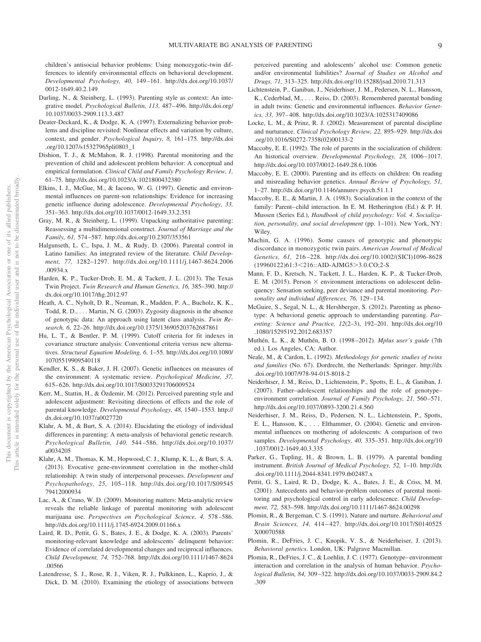children's antisocial behavior problems: Using monozygotic-twin differences to identify environmental effects on behavioral development. *Developmental Psychology, 40,* 149 –161. [http://dx.doi.org/10.1037/](http://dx.doi.org/10.1037/0012-1649.40.2.149) [0012-1649.40.2.149](http://dx.doi.org/10.1037/0012-1649.40.2.149)

- <span id="page-9-0"></span>Darling, N., & Steinberg, L. (1993). Parenting style as context: An integrative model. *Psychological Bulletin, 113,* 487– 496. [http://dx.doi.org/](http://dx.doi.org/10.1037/0033-2909.113.3.487) [10.1037/0033-2909.113.3.487](http://dx.doi.org/10.1037/0033-2909.113.3.487)
- Deater-Deckard, K., & Dodge, K. A. (1997). Externalizing behavior problems and discipline revisited: Nonlinear effects and variation by culture, context, and gender. *Psychological Inquiry, 8,* 161–175. [http://dx.doi](http://dx.doi.org/10.1207/s15327965pli0803_1) [.org/10.1207/s15327965pli0803\\_1](http://dx.doi.org/10.1207/s15327965pli0803_1)
- Dishion, T. J., & McMahon, R. J. (1998). Parental monitoring and the prevention of child and adolescent problem behavior: A conceptual and empirical formulation. *Clinical Child and Family Psychology Review, 1,* 61–75.<http://dx.doi.org/10.1023/A:1021800432380>
- Elkins, I. J., McGue, M., & Iacono, W. G. (1997). Genetic and environmental influences on parent-son relationships: Evidence for increasing genetic influence during adolescence. *Developmental Psychology, 33,* 351–363.<http://dx.doi.org/10.1037/0012-1649.33.2.351>
- Gray, M. R., & Steinberg, L. (1999). Unpacking authoritative parenting: Reassessing a multidimensional construct. *Journal of Marriage and the Family, 61,* 574 –587.<http://dx.doi.org/10.2307/353561>
- Halgunseth, L. C., Ispa, J. M., & Rudy, D. (2006). Parental control in Latino families: An integrated review of the literature. *Child Development, 77,* 1282–1297. [http://dx.doi.org/10.1111/j.1467-8624.2006](http://dx.doi.org/10.1111/j.1467-8624.2006.00934.x) [.00934.x](http://dx.doi.org/10.1111/j.1467-8624.2006.00934.x)
- Harden, K. P., Tucker-Drob, E. M., & Tackett, J. L. (2013). The Texas Twin Project. *Twin Research and Human Genetics, 16,* 385–390. [http://](http://dx.doi.org/10.1017/thg.2012.97) [dx.doi.org/10.1017/thg.2012.97](http://dx.doi.org/10.1017/thg.2012.97)
- Heath, A. C., Nyholt, D. R., Neuman, R., Madden, P. A., Bucholz, K. K., Todd, R. D.,... Martin, N. G. (2003). Zygosity diagnosis in the absence of genotypic data: An approach using latent class analysis. *Twin Research, 6,* 22–26.<http://dx.doi.org/10.1375/136905203762687861>
- Hu, L. T., & Bentler, P. M. (1999). Cutoff criteria for fit indexes in covariance structure analysis: Conventional criteria versus new alternatives. *Structural Equation Modeling, 6,* 1–55. [http://dx.doi.org/10.1080/](http://dx.doi.org/10.1080/10705519909540118) [10705519909540118](http://dx.doi.org/10.1080/10705519909540118)
- Kendler, K. S., & Baker, J. H. (2007). Genetic influences on measures of the environment: A systematic review. *Psychological Medicine, 37,* 615– 626.<http://dx.doi.org/10.1017/S0033291706009524>
- Kerr, M., Stattin, H., & Özdemir, M. (2012). Perceived parenting style and adolescent adjustment: Revisiting directions of effects and the role of parental knowledge. *Developmental Psychology, 48, 1540-1553*. [http://](http://dx.doi.org/10.1037/a0027720) [dx.doi.org/10.1037/a0027720](http://dx.doi.org/10.1037/a0027720)
- Klahr, A. M., & Burt, S. A. (2014). Elucidating the etiology of individual differences in parenting: A meta-analysis of behavioral genetic research. *Psychological Bulletin, 140,* 544 –586. [http://dx.doi.org/10.1037/](http://dx.doi.org/10.1037/a0034205) [a0034205](http://dx.doi.org/10.1037/a0034205)
- Klahr, A. M., Thomas, K. M., Hopwood, C. J., Klump, K. L., & Burt, S. A. (2013). Evocative gene-environment correlation in the mother-child relationship: A twin study of interpersonal processes. *Development and Psychopathology, 25,* 105–118. [http://dx.doi.org/10.1017/S09545](http://dx.doi.org/10.1017/S0954579412000934) [79412000934](http://dx.doi.org/10.1017/S0954579412000934)
- Lac, A., & Crano, W. D. (2009). Monitoring matters: Meta-analytic review reveals the reliable linkage of parental monitoring with adolescent marijuana use. *Perspectives on Psychological Science, 4,* 578 –586. <http://dx.doi.org/10.1111/j.1745-6924.2009.01166.x>
- Laird, R. D., Pettit, G. S., Bates, J. E., & Dodge, K. A. (2003). Parents' monitoring-relevant knowledge and adolescents' delinquent behavior: Evidence of correlated developmental changes and reciprocal influences. *Child Development, 74,* 752–768. [http://dx.doi.org/10.1111/1467-8624](http://dx.doi.org/10.1111/1467-8624.00566) [.00566](http://dx.doi.org/10.1111/1467-8624.00566)
- Latendresse, S. J., Rose, R. J., Viken, R. J., Pulkkinen, L., Kaprio, J., & Dick, D. M. (2010). Examining the etiology of associations between

perceived parenting and adolescents' alcohol use: Common genetic and/or environmental liabilities? *Journal of Studies on Alcohol and Drugs, 71,* 313–325.<http://dx.doi.org/10.15288/jsad.2010.71.313>

- Lichtenstein, P., Ganiban, J., Neiderhiser, J. M., Pedersen, N. L., Hansson, K., Cederblad, M., ... Reiss, D. (2003). Remembered parental bonding in adult twins: Genetic and environmental influences. *Behavior Genetics, 33,* 397– 408.<http://dx.doi.org/10.1023/A:1025317409086>
- Locke, L. M., & Prinz, R. J. (2002). Measurement of parental discipline and nurturance. *Clinical Psychology Review, 22,* 895–929. [http://dx.doi](http://dx.doi.org/10.1016/S0272-7358%2802%2900133-2) [.org/10.1016/S0272-7358\(02\)00133-2](http://dx.doi.org/10.1016/S0272-7358%2802%2900133-2)
- Maccoby, E. E. (1992). The role of parents in the socialization of children: An historical overview. *Developmental Psychology*, 28, 1006-1017. <http://dx.doi.org/10.1037/0012-1649.28.6.1006>
- Maccoby, E. E. (2000). Parenting and its effects on children: On reading and misreading behavior genetics. *Annual Review of Psychology, 51,* 1–27.<http://dx.doi.org/10.1146/annurev.psych.51.1.1>
- Maccoby, E. E., & Martin, J. A. (1983). Socialization in the context of the family: Parent–child interaction. In E. M. Hetherington (Ed.) & P. H. Mussen (Series Ed.), *Handbook of child psychology: Vol. 4*. *Socialization, personality, and social development* (pp. 1–101). New York, NY: Wiley.
- Machin, G. A. (1996). Some causes of genotypic and phenotypic discordance in monozygotic twin pairs. *American Journal of Medical Genetics, 61,* 216 –228. [http://dx.doi.org/10.1002/\(SICI\)1096-8628](http://dx.doi.org/10.1002/%28SICI%291096-8628%2819960122%2961:3%3C216::AID-AJMG5%3E3.0.CO;2-S) (19960122)61:3<[216::AID-AJMG5](http://dx.doi.org/10.1002/%28SICI%291096-8628%2819960122%2961:3%3C216::AID-AJMG5%3E3.0.CO;2-S)>3.0.CO;2-S
- Mann, F. D., Kretsch, N., Tackett, J. L., Harden, K. P., & Tucker-Drob, E. M. (2015). Person  $\times$  environment interactions on adolescent delinquency: Sensation seeking, peer deviance and parental monitoring. *Personality and individual differences, 76,* 129 –134.
- McGuire, S., Segal, N. L., & Hershberger, S. (2012). Parenting as phenotype: A behavioral genetic approach to understanding parenting. *Parenting: Science and Practice, 12*(2–3), 192–201. [http://dx.doi.org/10](http://dx.doi.org/10.1080/15295192.2012.683357) [.1080/15295192.2012.683357](http://dx.doi.org/10.1080/15295192.2012.683357)
- Muthén, L. K., & Muthén, B. O. (1998 –2012). *Mplus user's guide* (7th ed.). Los Angeles, CA: Author.
- Neale, M., & Cardon, L. (1992). *Methodology for genetic studies of twins and families* (No. 67). Dordrecht, the Netherlands: Springer. [http://dx](http://dx.doi.org/10.1007/978-94-015-8018-2) [.doi.org/10.1007/978-94-015-8018-2](http://dx.doi.org/10.1007/978-94-015-8018-2)
- <span id="page-9-1"></span>Neiderhiser, J. M., Reiss, D., Lichtenstein, P., Spotts, E. L., & Ganiban, J. (2007). Father–adolescent relationships and the role of genotype– environment correlation. *Journal of Family Psychology*, 21, 560-571. <http://dx.doi.org/10.1037/0893-3200.21.4.560>
- Neiderhiser, J. M., Reiss, D., Pedersen, N. L., Lichtenstein, P., Spotts, E. L., Hansson, K.,... Elthammer, O. (2004). Genetic and environmental influences on mothering of adolescents: A comparison of two samples. *Developmental Psychology, 40,* 335–351. [http://dx.doi.org/10](http://dx.doi.org/10.1037/0012-1649.40.3.335) [.1037/0012-1649.40.3.335](http://dx.doi.org/10.1037/0012-1649.40.3.335)
- Parker, G., Tupling, H., & Brown, L. B. (1979). A parental bonding instrument. *British Journal of Medical Psychology, 52,* 1–10. [http://dx](http://dx.doi.org/10.1111/j.2044-8341.1979.tb02487.x) [.doi.org/10.1111/j.2044-8341.1979.tb02487.x](http://dx.doi.org/10.1111/j.2044-8341.1979.tb02487.x)
- Pettit, G. S., Laird, R. D., Dodge, K. A., Bates, J. E., & Criss, M. M. (2001). Antecedents and behavior-problem outcomes of parental monitoring and psychological control in early adolescence. *Child Development, 72,* 583–598.<http://dx.doi.org/10.1111/1467-8624.00298>
- Plomin, R., & Bergeman, C. S. (1991). Nature and nurture. *Behavioral and Brain Sciences, 14,* 414 – 427. [http://dx.doi.org/10.1017/S0140525](http://dx.doi.org/10.1017/S0140525X00070588) [X00070588](http://dx.doi.org/10.1017/S0140525X00070588)
- Plomin, R., DeFries, J. C., Knopik, V. S., & Neiderheiser, J. (2013). *Behavioral genetics*. London, UK: Palgrave Macmillan.
- Plomin, R., DeFries, J. C., & Loehlin, J. C. (1977). Genotype–environment interaction and correlation in the analysis of human behavior. *Psychological Bulletin, 84,* 309 –322. [http://dx.doi.org/10.1037/0033-2909.84.2](http://dx.doi.org/10.1037/0033-2909.84.2.309) [.309](http://dx.doi.org/10.1037/0033-2909.84.2.309)